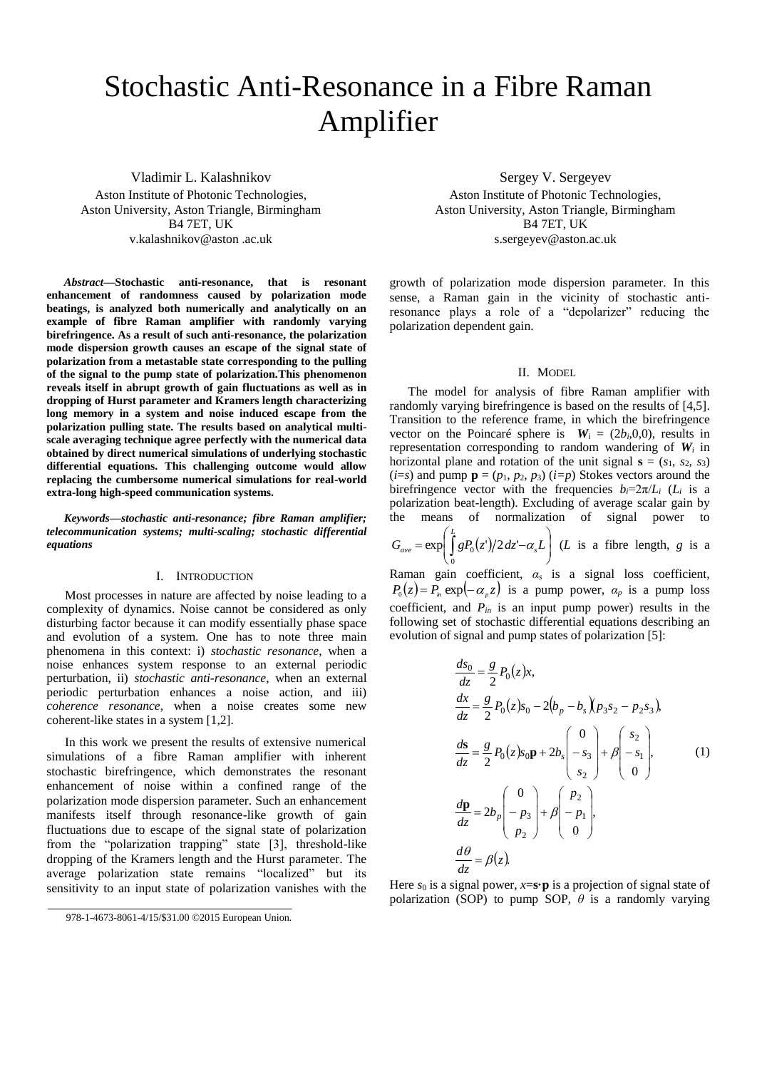# Stochastic Anti-Resonance in a Fibre Raman Amplifier

Vladimir L. Kalashnikov Aston Institute of Photonic Technologies, Aston University, Aston Triangle, Birmingham B4 7ET, UK v.kalashnikov@aston .ac.uk

*Abstract***—Stochastic anti-resonance, that is resonant enhancement of randomness caused by polarization mode beatings, is analyzed both numerically and analytically on an example of fibre Raman amplifier with randomly varying birefringence. As a result of such anti-resonance, the polarization mode dispersion growth causes an escape of the signal state of polarization from a metastable state corresponding to the pulling of the signal to the pump state of polarization.This phenomenon reveals itself in abrupt growth of gain fluctuations as well as in dropping of Hurst parameter and Kramers length characterizing long memory in a system and noise induced escape from the polarization pulling state. The results based on analytical multiscale averaging technique agree perfectly with the numerical data obtained by direct numerical simulations of underlying stochastic differential equations. This challenging outcome would allow replacing the cumbersome numerical simulations for real-world extra-long high-speed communication systems.**

*Keywords—stochastic anti-resonance; fibre Raman amplifier; telecommunication systems; multi-scaling; stochastic differential equations*

# I. INTRODUCTION

Most processes in nature are affected by noise leading to a complexity of dynamics. Noise cannot be considered as only disturbing factor because it can modify essentially phase space and evolution of a system. One has to note three main phenomena in this context: i) *stochastic resonance*, when a noise enhances system response to an external periodic perturbation, ii) *stochastic anti-resonance*, when an external periodic perturbation enhances a noise action, and iii) *coherence resonance*, when a noise creates some new coherent-like states in a system [1,2].

In this work we present the results of extensive numerical simulations of a fibre Raman amplifier with inherent stochastic birefringence, which demonstrates the resonant enhancement of noise within a confined range of the polarization mode dispersion parameter. Such an enhancement manifests itself through resonance-like growth of gain fluctuations due to escape of the signal state of polarization from the "polarization trapping" state [3], threshold-like dropping of the Kramers length and the Hurst parameter. The average polarization state remains "localized" but its sensitivity to an input state of polarization vanishes with the

Sergey V. Sergeyev Aston Institute of Photonic Technologies, Aston University, Aston Triangle, Birmingham B4 7ET, UK s.sergeyev@aston.ac.uk

growth of polarization mode dispersion parameter. In this sense, a Raman gain in the vicinity of stochastic antiresonance plays a role of a "depolarizer" reducing the polarization dependent gain.

### II. MODEL

The model for analysis of fibre Raman amplifier with randomly varying birefringence is based on the results of [4,5]. Transition to the reference frame, in which the birefringence vector on the Poincaré sphere is  $W_i = (2b_i, 0, 0)$ , results in representation corresponding to random wandering of *W<sup>i</sup>* in horizontal plane and rotation of the unit signal  $\mathbf{s} = (s_1, s_2, s_3)$  $(i=s)$  and pump  $\mathbf{p} = (p_1, p_2, p_3)$   $(i=p)$  Stokes vectors around the birefringence vector with the frequencies  $b_i=2\pi/L_i$  ( $L_i$  is a polarization beat-length). Excluding of average scalar gain by the means of normalization of signal power to

$$
G_{ave} = \exp\left(\int_{0}^{L} g P_0(z')/2 dz' - \alpha_s L\right) \ (L \text{ is a fibre length, } g \text{ is a}
$$

Raman gain coefficient, *α<sup>s</sup>* is a signal loss coefficient,  $P_0(z) = P_n \exp(-\alpha_p z)$  is a pump power,  $\alpha_p$  is a pump loss coefficient, and  $P_{in}$  is an input pump power) results in the following set of stochastic differential equations describing an evolution of signal and pump states of polarization [5]:

$$
\frac{ds_0}{dz} = \frac{g}{2} P_0(z)x,
$$
\n
$$
\frac{dx}{dz} = \frac{g}{2} P_0(z)s_0 - 2(b_p - b_s)(p_3s_2 - p_2s_3),
$$
\n
$$
\frac{ds}{dz} = \frac{g}{2} P_0(z)s_0 \mathbf{p} + 2b_s \begin{pmatrix} 0 \\ -s_3 \\ s_2 \end{pmatrix} + \beta \begin{pmatrix} s_2 \\ -s_1 \\ 0 \end{pmatrix},
$$
\n
$$
\frac{d\mathbf{p}}{dz} = 2b_p \begin{pmatrix} 0 \\ -p_3 \\ p_2 \end{pmatrix} + \beta \begin{pmatrix} p_2 \\ -p_1 \\ 0 \end{pmatrix},
$$
\n
$$
\frac{d\theta}{dz} = \beta(z).
$$
\n(1)

Here  $s_0$  is a signal power,  $x = s \cdot p$  is a projection of signal state of polarization (SOP) to pump SOP,  $\theta$  is a randomly varying

<sup>978-1-4673-8061-4/15/\$31.00 ©2015</sup> European Union*.*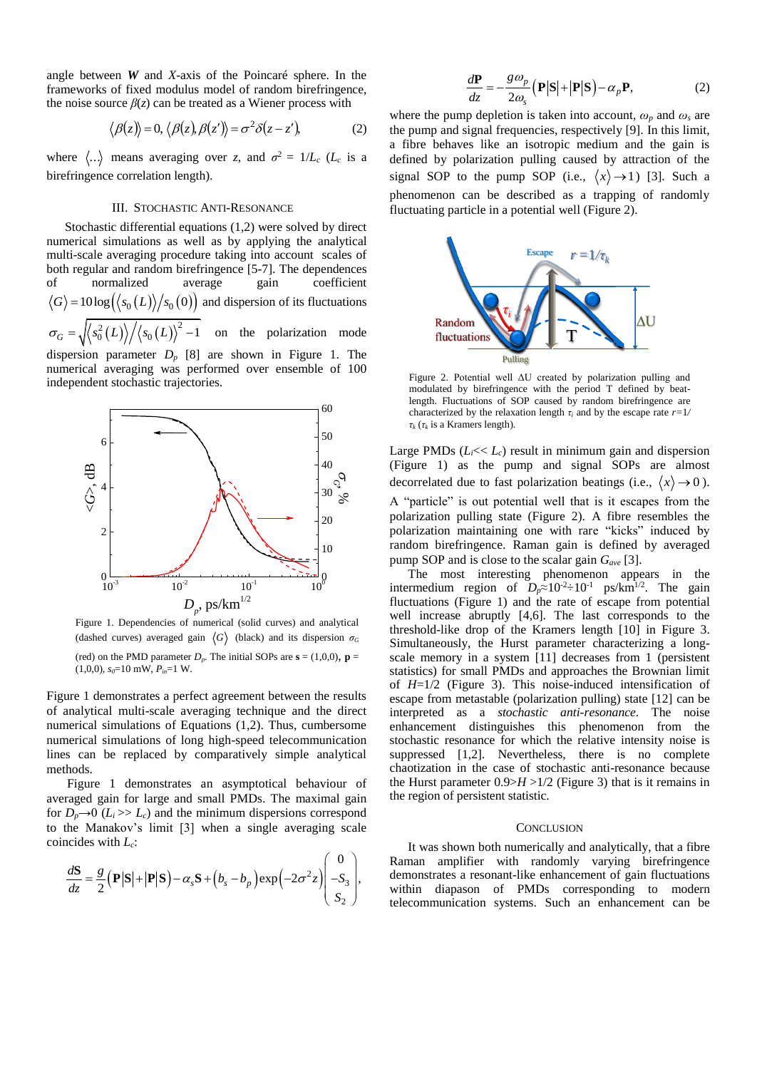angle between *W* and *X*-axis of the Poincaré sphere. In the frameworks of fixed modulus model of random birefringence, the noise source  $\beta(z)$  can be treated as a Wiener process with

$$
\langle \beta(z) \rangle = 0, \langle \beta(z), \beta(z') \rangle = \sigma^2 \delta(z - z'), \tag{2}
$$

where  $\langle ... \rangle$  means averaging over *z*, and  $\sigma^2 = 1/L_c$  (*L<sub>c</sub>* is a birefringence correlation length).

#### III. STOCHASTIC ANTI-RESONANCE

Stochastic differential equations (1,2) were solved by direct numerical simulations as well as by applying the analytical multi-scale averaging procedure taking into account scales of both regular and random birefringence [5-7]. The dependences of normalized average gain coefficient  $G$  = 10log( $\langle s_0(L) \rangle / s_0(0)$ ) and dispersion of its fluctuations  $\sigma_G = \sqrt{\langle s_0^2(L) \rangle / \langle s_0(L) \rangle^2 - 1}$  on the polarization mode dispersion parameter *D<sup>p</sup>* [8] are shown in Figure 1. The numerical averaging was performed over ensemble of 100 independent stochastic trajectories.



Figure 1. Dependencies of numerical (solid curves) and analytical (dashed curves) averaged gain  $\langle G \rangle$  (black) and its dispersion  $\sigma_G$ (red) on the PMD parameter  $D_p$ . The initial SOPs are  $\mathbf{s} = (1,0,0)$ ,  $\mathbf{p} =$ (1,0,0), *s0*=10 mW, *Pin*=1 W.

Figure 1 demonstrates a perfect agreement between the results of analytical multi-scale averaging technique and the direct numerical simulations of Equations (1,2). Thus, cumbersome numerical simulations of long high-speed telecommunication lines can be replaced by comparatively simple analytical methods.

Figure 1 demonstrates an asymptotical behaviour of averaged gain for large and small PMDs. The maximal gain for  $D_p \rightarrow 0$  ( $L_i \gg L_c$ ) and the minimum dispersions correspond to the Manakov's limit [3] when a single averaging scale coincides with *Lc*: 000

$$
\frac{d\mathbf{S}}{dz} = \frac{g}{2} \left( \mathbf{P}|\mathbf{S}| + |\mathbf{P}|\mathbf{S} \right) - \alpha_s \mathbf{S} + \left( b_s - b_p \right) \exp \left( -2\sigma^2 z \right) \begin{pmatrix} 0 \\ -S_3 \\ S_2 \end{pmatrix}, \quad \begin{array}{c} \mathbf{B} \\ \mathbf{C} \\ \mathbf{S} \end{array}
$$

$$
\frac{d\mathbf{P}}{dz} = -\frac{g\omega_p}{2\omega_s} \left( \mathbf{P}|\mathbf{S}| + |\mathbf{P}|\mathbf{S} \right) - \alpha_p \mathbf{P},\tag{2}
$$

where the pump depletion is taken into account,  $\omega_p$  and  $\omega_s$  are the pump and signal frequencies, respectively [9]. In this limit, a fibre behaves like an isotropic medium and the gain is defined by polarization pulling caused by attraction of the signal SOP to the pump SOP (i.e.,  $\langle x \rangle \rightarrow 1$ ) [3]. Such a phenomenon can be described as a trapping of randomly fluctuating particle in a potential well (Figure 2).



Figure 2. Potential well ΔU created by polarization pulling and modulated by birefringence with the period T defined by beatlength. Fluctuations of SOP caused by random birefringence are characterized by the relaxation length *τ<sup>i</sup>* and by the escape rate *r=*1*/ τ<sup>k</sup>* (*τ<sup>k</sup>* is a Kramers length).

Large PMDs  $(L \ll L_c)$  result in minimum gain and dispersion (Figure 1) as the pump and signal SOPs are almost decorrelated due to fast polarization beatings (i.e.,  $\langle x \rangle \rightarrow 0$ ).  $\sim$  A "particle" is out potential well that is it escapes from the polarization pulling state (Figure 2). A fibre resembles the polarization maintaining one with rare "kicks" induced by random birefringence. Raman gain is defined by averaged pump SOP and is close to the scalar gain *Gave* [3].

**P** fried modulus and of random space  $\hat{p}$ ,  $\hat{p} = -\frac{1}{2}$ ,  $\hat{p} = -\frac{1}{2}$ ,  $\hat{p} = \frac{1}{2}$ ,  $\hat{p} = \frac{1}{2}$ ,  $\hat{p} = \frac{1}{2}$ ,  $\hat{p} = \frac{1}{2}$ ,  $\hat{p} = \frac{1}{2}$ ,  $\hat{p} = \frac{1}{2}$ ,  $\hat{p} = \frac{1}{2}$ ,  $\hat{p} = \frac{1}{2}$ ,  $\$ The most interesting phenomenon appears in the intermedium region of  $D_p \approx 10^{-2} \div 10^{-1}$  ps/km<sup>1/2</sup>. The gain fluctuations (Figure 1) and the rate of escape from potential well increase abruptly [4,6]. The last corresponds to the threshold-like drop of the Kramers length [10] in Figure 3. Simultaneously, the Hurst parameter characterizing a longscale memory in a system [11] decreases from 1 (persistent statistics) for small PMDs and approaches the Brownian limit of *H*=1/2 (Figure 3). This noise-induced intensification of escape from metastable (polarization pulling) state [12] can be interpreted as a *stochastic anti-resonance*. The noise enhancement distinguishes this phenomenon from the stochastic resonance for which the relative intensity noise is suppressed [1,2]. Nevertheless, there is no complete chaotization in the case of stochastic anti-resonance because the Hurst parameter  $0.9>H > 1/2$  (Figure 3) that is it remains in the region of persistent statistic.

#### **CONCLUSION**

It was shown both numerically and analytically, that a fibre Raman amplifier with randomly varying birefringence demonstrates a resonant-like enhancement of gain fluctuations within diapason of PMDs corresponding to modern telecommunication systems. Such an enhancement can be